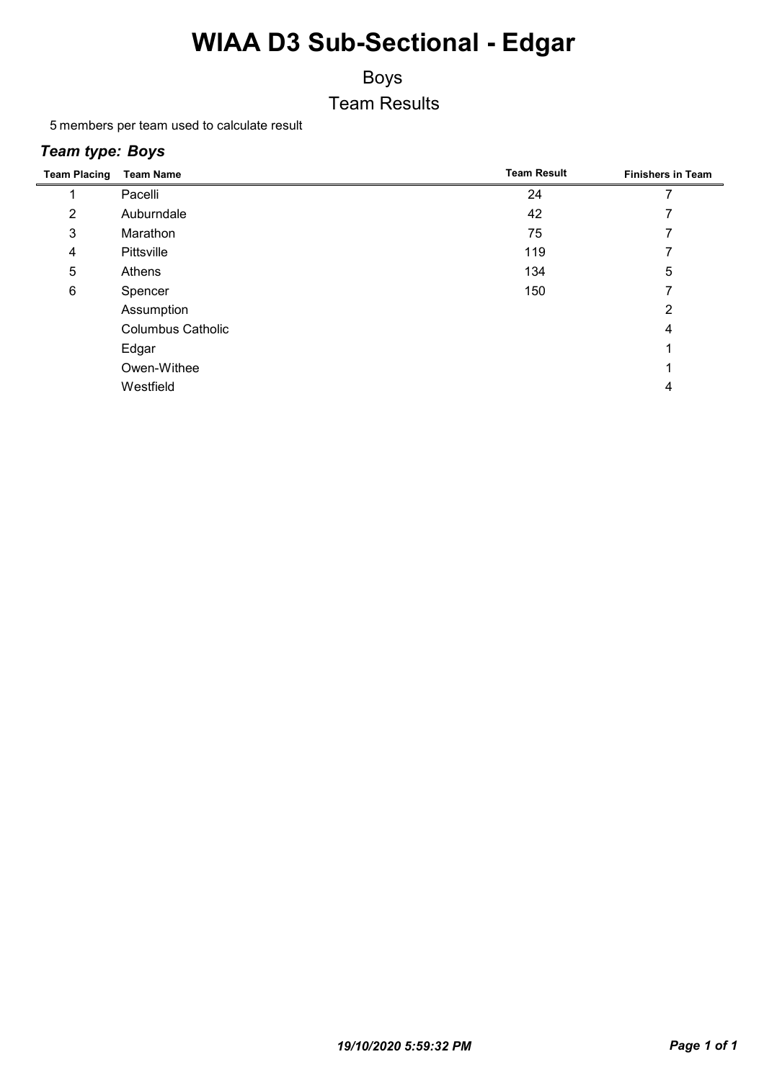### Boys Team Results

5 members per team used to calculate result

#### *Team type: Boys*

| <b>Team Placing</b> | <b>Team Name</b>         | <b>Team Result</b> | <b>Finishers in Team</b> |
|---------------------|--------------------------|--------------------|--------------------------|
|                     | Pacelli                  | 24                 |                          |
| 2                   | Auburndale               | 42                 |                          |
| 3                   | Marathon                 | 75                 |                          |
| 4                   | Pittsville               | 119                |                          |
| 5                   | Athens                   | 134                | 5                        |
| 6                   | Spencer                  | 150                |                          |
|                     | Assumption               |                    | 2                        |
|                     | <b>Columbus Catholic</b> |                    | 4                        |
|                     | Edgar                    |                    |                          |
|                     | Owen-Withee              |                    |                          |
|                     | Westfield                |                    | 4                        |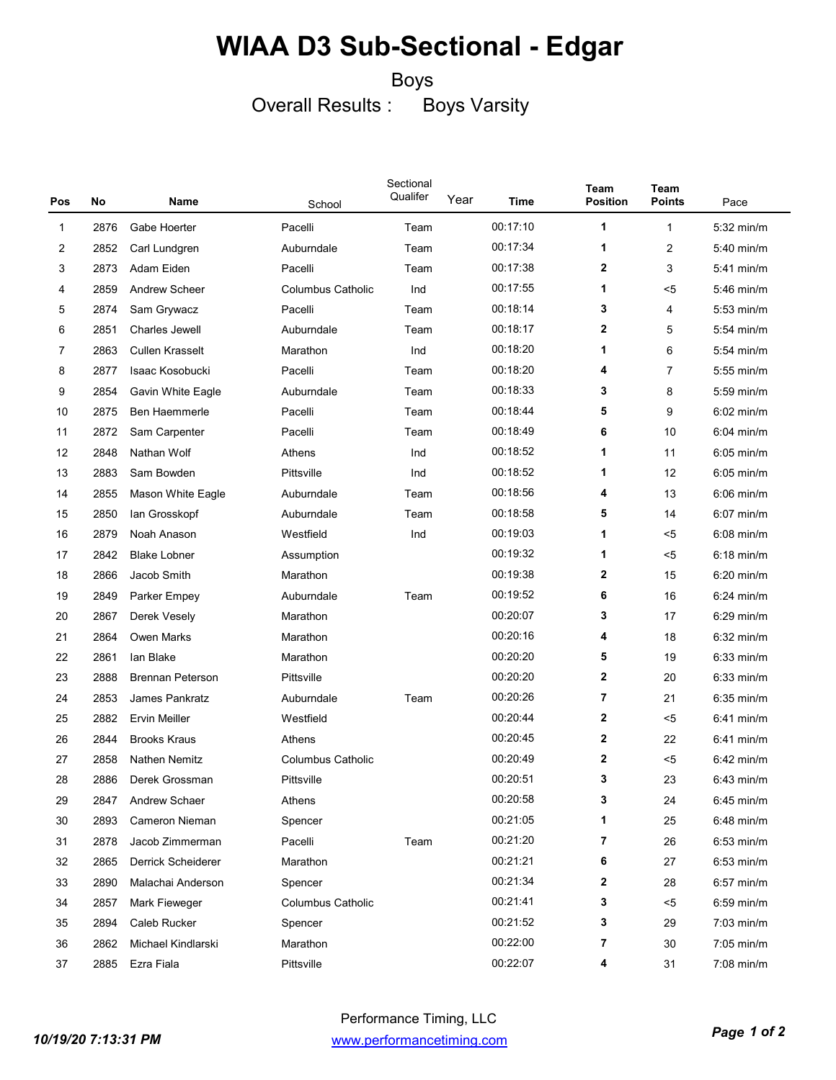#### Boys

Overall Results : Boys Varsity

| Pos         | No   | Name                     | School                   | Sectional<br>Qualifer | Year | Time     | Team<br><b>Position</b> | Team<br><b>Points</b>   | Pace         |
|-------------|------|--------------------------|--------------------------|-----------------------|------|----------|-------------------------|-------------------------|--------------|
| $\mathbf 1$ | 2876 | Gabe Hoerter             | Pacelli                  | Team                  |      | 00:17:10 | 1                       | 1                       | 5:32 min/m   |
| 2           | 2852 | Carl Lundgren            | Auburndale               | Team                  |      | 00:17:34 | 1                       | $\overline{\mathbf{c}}$ | 5:40 min/m   |
| 3           | 2873 | Adam Eiden               | Pacelli                  | Team                  |      | 00:17:38 | $\mathbf 2$             | 3                       | 5:41 min/m   |
| 4           | 2859 | <b>Andrew Scheer</b>     | <b>Columbus Catholic</b> | Ind                   |      | 00:17:55 | 1                       | <5                      | $5:46$ min/m |
| 5           | 2874 | Sam Grywacz              | Pacelli                  | Team                  |      | 00:18:14 | 3                       | 4                       | $5:53$ min/m |
| 6           | 2851 | Charles Jewell           | Auburndale               | Team                  |      | 00:18:17 | $\mathbf{2}$            | 5                       | 5:54 min/m   |
| 7           | 2863 | <b>Cullen Krasselt</b>   | Marathon                 | Ind                   |      | 00:18:20 | 1                       | 6                       | $5:54$ min/m |
| 8           | 2877 | Isaac Kosobucki          | Pacelli                  | Team                  |      | 00:18:20 | 4                       | 7                       | $5:55$ min/m |
| 9           | 2854 | Gavin White Eagle        | Auburndale               | Team                  |      | 00:18:33 | 3                       | 8                       | 5:59 min/m   |
| 10          | 2875 | Ben Haemmerle            | Pacelli                  | Team                  |      | 00:18:44 | 5                       | 9                       | $6:02$ min/m |
| 11          | 2872 | Sam Carpenter            | Pacelli                  | Team                  |      | 00:18:49 | 6                       | 10                      | $6:04$ min/m |
| 12          | 2848 | Nathan Wolf              | Athens                   | Ind                   |      | 00:18:52 | 1                       | 11                      | $6:05$ min/m |
| 13          | 2883 | Sam Bowden               | Pittsville               | Ind                   |      | 00:18:52 | 1                       | 12                      | $6:05$ min/m |
| 14          | 2855 | <b>Mason White Eagle</b> | Auburndale               | Team                  |      | 00:18:56 | 4                       | 13                      | $6:06$ min/m |
| 15          | 2850 | lan Grosskopf            | Auburndale               | Team                  |      | 00:18:58 | 5                       | 14                      | $6:07$ min/m |
| 16          | 2879 | Noah Anason              | Westfield                | Ind                   |      | 00:19:03 | 1                       | <5                      | $6:08$ min/m |
| 17          | 2842 | <b>Blake Lobner</b>      | Assumption               |                       |      | 00:19:32 | 1                       | <5                      | $6:18$ min/m |
| 18          | 2866 | Jacob Smith              | Marathon                 |                       |      | 00:19:38 | $\mathbf{2}$            | 15                      | 6:20 min/m   |
| 19          | 2849 | Parker Empey             | Auburndale               | Team                  |      | 00:19:52 | 6                       | 16                      | $6:24$ min/m |
| 20          | 2867 | Derek Vesely             | Marathon                 |                       |      | 00:20:07 | 3                       | 17                      | $6:29$ min/m |
| 21          | 2864 | <b>Owen Marks</b>        | Marathon                 |                       |      | 00:20:16 | 4                       | 18                      | $6:32$ min/m |
| 22          | 2861 | lan Blake                | Marathon                 |                       |      | 00:20:20 | 5                       | 19                      | $6:33$ min/m |
| 23          | 2888 | <b>Brennan Peterson</b>  | Pittsville               |                       |      | 00:20:20 | $\mathbf 2$             | 20                      | $6:33$ min/m |
| 24          | 2853 | James Pankratz           | Auburndale               | Team                  |      | 00:20:26 | 7                       | 21                      | $6:35$ min/m |
| 25          | 2882 | <b>Ervin Meiller</b>     | Westfield                |                       |      | 00:20:44 | $\mathbf 2$             | <5                      | $6:41$ min/m |
| 26          | 2844 | <b>Brooks Kraus</b>      | Athens                   |                       |      | 00:20:45 | $\mathbf 2$             | 22                      | $6:41$ min/m |
| 27          | 2858 | <b>Nathen Nemitz</b>     | <b>Columbus Catholic</b> |                       |      | 00:20:49 | $\mathbf 2$             | <5                      | $6:42$ min/m |
| 28          | 2886 | Derek Grossman           | Pittsville               |                       |      | 00:20:51 | 3                       | 23                      | $6:43$ min/m |
| 29          | 2847 | Andrew Schaer            | Athens                   |                       |      | 00:20:58 | 3                       | 24                      | $6:45$ min/m |
| 30          | 2893 | Cameron Nieman           | Spencer                  |                       |      | 00:21:05 | 1                       | 25                      | 6:48 min/m   |
| 31          | 2878 | Jacob Zimmerman          | Pacelli                  | Team                  |      | 00:21:20 | $\overline{7}$          | 26                      | $6:53$ min/m |
| 32          | 2865 | Derrick Scheiderer       | Marathon                 |                       |      | 00:21:21 | 6                       | 27                      | $6:53$ min/m |
| 33          | 2890 | Malachai Anderson        | Spencer                  |                       |      | 00:21:34 | $\mathbf{2}$            | 28                      | $6:57$ min/m |
| 34          | 2857 | Mark Fieweger            | <b>Columbus Catholic</b> |                       |      | 00:21:41 | 3                       | $5$                     | $6:59$ min/m |
| 35          | 2894 | Caleb Rucker             | Spencer                  |                       |      | 00:21:52 | 3                       | 29                      | $7:03$ min/m |
| 36          | 2862 | Michael Kindlarski       | Marathon                 |                       |      | 00:22:00 | 7                       | 30                      | 7:05 min/m   |
| 37          | 2885 | Ezra Fiala               | Pittsville               |                       |      | 00:22:07 | 4                       | 31                      | 7:08 min/m   |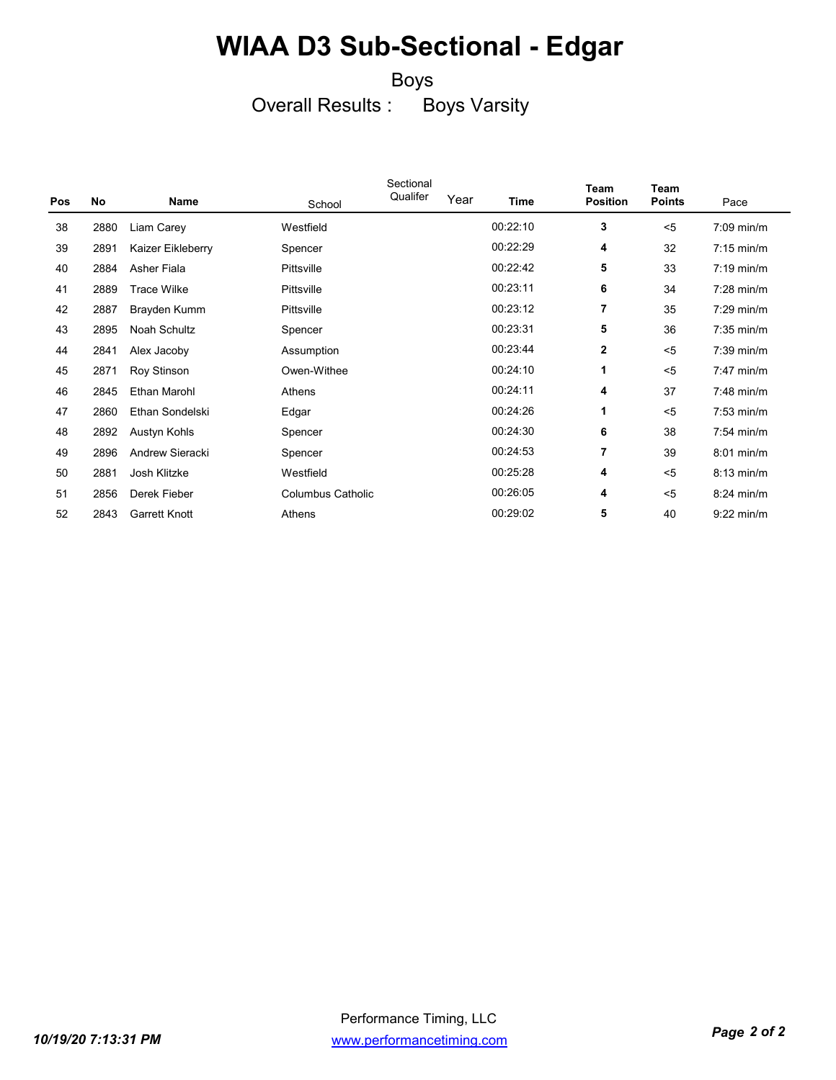#### Boys

Overall Results : Boys Varsity

|     |      |                      |                          | Sectional |      |          | Team            | Team          |                      |
|-----|------|----------------------|--------------------------|-----------|------|----------|-----------------|---------------|----------------------|
| Pos | No   | Name                 | School                   | Qualifer  | Year | Time     | <b>Position</b> | <b>Points</b> | Pace                 |
| 38  | 2880 | Liam Carey           | Westfield                |           |      | 00:22:10 | 3               | $5$           | $7:09$ min/m         |
| 39  | 2891 | Kaizer Eikleberry    | Spencer                  |           |      | 00:22:29 | 4               | 32            | $7:15 \text{ min/m}$ |
| 40  | 2884 | Asher Fiala          | Pittsville               |           |      | 00:22:42 | 5               | 33            | $7:19$ min/m         |
| 41  | 2889 | <b>Trace Wilke</b>   | Pittsville               |           |      | 00:23:11 | 6               | 34            | $7:28$ min/m         |
| 42  | 2887 | Brayden Kumm         | Pittsville               |           |      | 00:23:12 | $\overline{7}$  | 35            | $7:29$ min/m         |
| 43  | 2895 | Noah Schultz         | Spencer                  |           |      | 00:23:31 | 5               | 36            | $7:35$ min/m         |
| 44  | 2841 | Alex Jacoby          | Assumption               |           |      | 00:23:44 | $\mathbf{2}$    | $5$           | $7:39$ min/m         |
| 45  | 2871 | Roy Stinson          | Owen-Withee              |           |      | 00:24:10 | 1               | $5$           | $7:47$ min/m         |
| 46  | 2845 | Ethan Marohl         | Athens                   |           |      | 00:24:11 | 4               | 37            | 7:48 min/m           |
| 47  | 2860 | Ethan Sondelski      | Edgar                    |           |      | 00:24:26 | 1               | $5$           | $7:53$ min/m         |
| 48  | 2892 | Austyn Kohls         | Spencer                  |           |      | 00:24:30 | 6               | 38            | $7:54$ min/m         |
| 49  | 2896 | Andrew Sieracki      | Spencer                  |           |      | 00:24:53 | $\overline{7}$  | 39            | $8:01$ min/m         |
| 50  | 2881 | Josh Klitzke         | Westfield                |           |      | 00:25:28 | 4               | $5$           | $8:13$ min/m         |
| 51  | 2856 | Derek Fieber         | <b>Columbus Catholic</b> |           |      | 00:26:05 | 4               | $5$           | $8:24$ min/m         |
| 52  | 2843 | <b>Garrett Knott</b> | Athens                   |           |      | 00:29:02 | 5               | 40            | $9:22$ min/m         |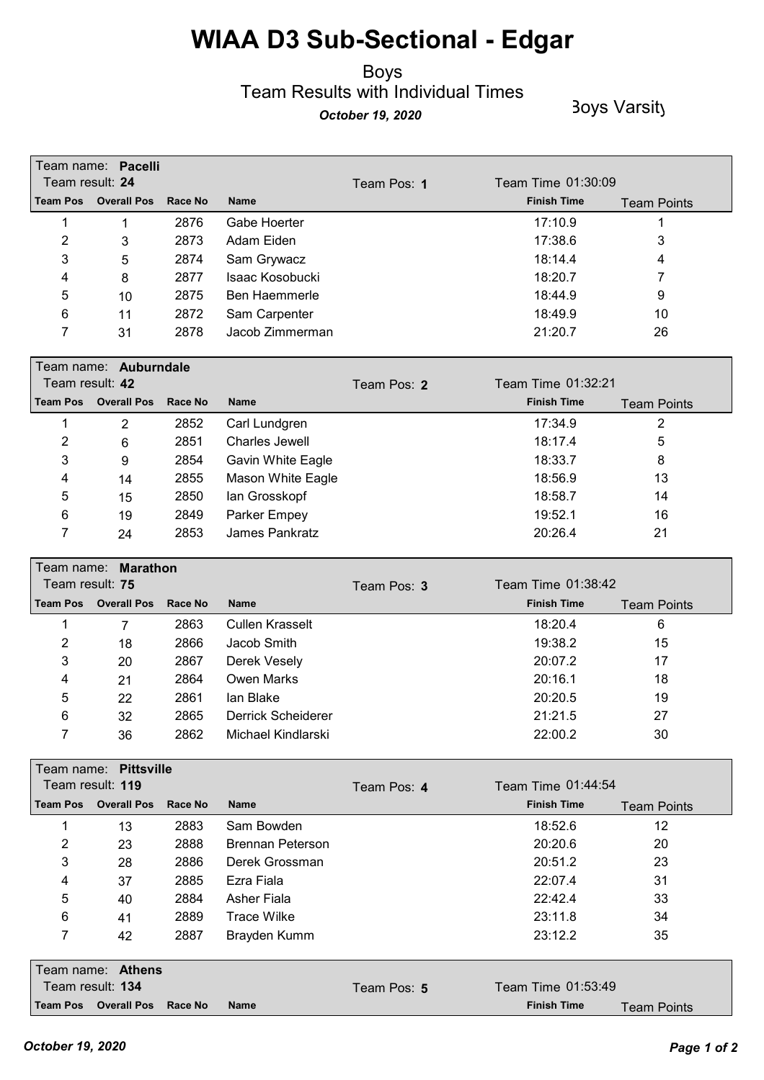#### Boys Team Results with Individual Times **October 19, 2020** Boys Varsity

|                 | Team name: Pacelli   |         |                 |             |                    |                    |
|-----------------|----------------------|---------|-----------------|-------------|--------------------|--------------------|
| Team result: 24 |                      |         |                 | Team Pos: 1 | Team Time 01:30:09 |                    |
|                 | Team Pos Overall Pos | Race No | <b>Name</b>     |             | <b>Finish Time</b> | <b>Team Points</b> |
|                 |                      | 2876    | Gabe Hoerter    |             | 17:10.9            |                    |
| 2               | 3                    | 2873    | Adam Eiden      |             | 17:38.6            | 3                  |
| 3               | 5                    | 2874    | Sam Grywacz     |             | 18:14.4            | 4                  |
| 4               | 8                    | 2877    | Isaac Kosobucki |             | 18:20.7            |                    |
| 5               | 10                   | 2875    | Ben Haemmerle   |             | 18:44.9            | 9                  |
| 6               | 11                   | 2872    | Sam Carpenter   |             | 18:49.9            | 10                 |
|                 | 31                   | 2878    | Jacob Zimmerman |             | 21:20.7            | 26                 |

|                 | Team name: Auburndale |         |                   |             |                    |                    |
|-----------------|-----------------------|---------|-------------------|-------------|--------------------|--------------------|
|                 | Team result: 42       |         |                   | Team Pos: 2 | Team Time 01:32:21 |                    |
| <b>Team Pos</b> | <b>Overall Pos</b>    | Race No | <b>Name</b>       |             | <b>Finish Time</b> | <b>Team Points</b> |
|                 | 2                     | 2852    | Carl Lundgren     |             | 17:34.9            |                    |
| 2               | 6                     | 2851    | Charles Jewell    |             | 18:17.4            | 5                  |
| 3               | 9                     | 2854    | Gavin White Eagle |             | 18:33.7            | 8                  |
| 4               | 14                    | 2855    | Mason White Eagle |             | 18:56.9            | 13                 |
| 5               | 15                    | 2850    | lan Grosskopf     |             | 18:58.7            | 14                 |
| 6               | 19                    | 2849    | Parker Empey      |             | 19:52.1            | 16                 |
|                 | 24                    | 2853    | James Pankratz    |             | 20:26.4            | 21                 |

| Team result: 75 | Team name: Marathon          |      |                    | Team Pos: 3 | Team Time 01:38:42 |                    |
|-----------------|------------------------------|------|--------------------|-------------|--------------------|--------------------|
|                 | Team Pos Overall Pos Race No |      | <b>Name</b>        |             | <b>Finish Time</b> | <b>Team Points</b> |
|                 |                              | 2863 | Cullen Krasselt    |             | 18:20.4            | 6                  |
| 2               | 18                           | 2866 | Jacob Smith        |             | 19:38.2            | 15                 |
| 3               | 20                           | 2867 | Derek Vesely       |             | 20:07.2            | 17                 |
| 4               | 21                           | 2864 | Owen Marks         |             | 20:16.1            | 18                 |
| 5               | 22                           | 2861 | lan Blake          |             | 20:20.5            | 19                 |
| 6               | 32                           | 2865 | Derrick Scheiderer |             | 21:21.5            | 27                 |
|                 | 36                           | 2862 | Michael Kindlarski |             | 22:00.2            | 30                 |

|                 | Team name: Pittsville |         |                         |             |                    |                    |
|-----------------|-----------------------|---------|-------------------------|-------------|--------------------|--------------------|
|                 | Team result: 119      |         |                         | Team Pos: 4 | Team Time 01:44:54 |                    |
| <b>Team Pos</b> | <b>Overall Pos</b>    | Race No | <b>Name</b>             |             | <b>Finish Time</b> | <b>Team Points</b> |
|                 | 13                    | 2883    | Sam Bowden              |             | 18:52.6            | 12                 |
| $\overline{2}$  | 23                    | 2888    | <b>Brennan Peterson</b> |             | 20:20.6            | 20                 |
| 3               | 28                    | 2886    | Derek Grossman          |             | 20:51.2            | 23                 |
| 4               | 37                    | 2885    | Ezra Fiala              |             | 22:07.4            | 31                 |
| 5               | 40                    | 2884    | Asher Fiala             |             | 22:42.4            | 33                 |
| 6               | 41                    | 2889    | <b>Trace Wilke</b>      |             | 23:11.8            | 34                 |
| 7               | 42                    | 2887    | Brayden Kumm            |             | 23:12.2            | 35                 |
|                 | Team name: Athens     |         |                         |             |                    |                    |
|                 | Team result: 134      |         |                         | Team Pos: 5 | Team Time 01:53:49 |                    |
| <b>Team Pos</b> | <b>Overall Pos</b>    | Race No | <b>Name</b>             |             | <b>Finish Time</b> | <b>Team Points</b> |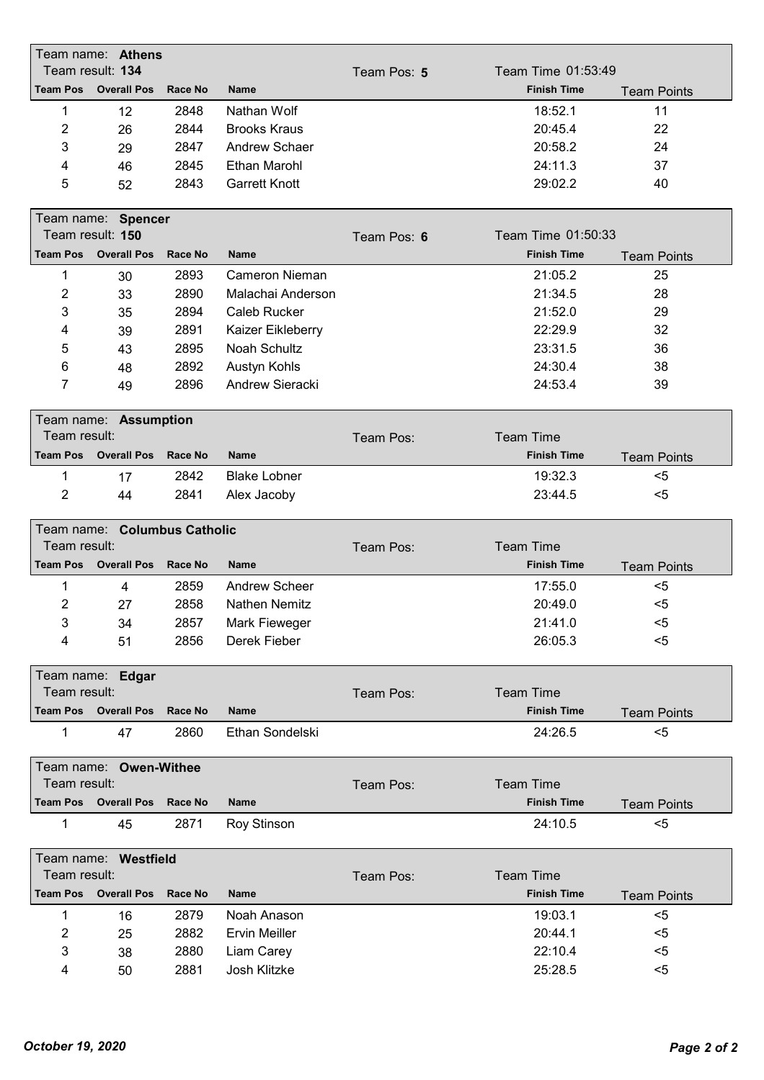|                     | Team name: Athens            |                |                                    |             |                    |                    |
|---------------------|------------------------------|----------------|------------------------------------|-------------|--------------------|--------------------|
|                     | Team result: 134             |                |                                    | Team Pos: 5 | Team Time 01:53:49 |                    |
| <b>Team Pos</b>     | <b>Overall Pos</b>           | <b>Race No</b> | <b>Name</b>                        |             | <b>Finish Time</b> | <b>Team Points</b> |
| 1                   | 12                           | 2848           | Nathan Wolf                        |             | 18:52.1            | 11                 |
| 2                   | 26                           | 2844           | <b>Brooks Kraus</b>                |             | 20:45.4            | 22                 |
| 3                   | 29                           | 2847           | Andrew Schaer                      |             | 20:58.2            | 24                 |
| 4                   | 46                           | 2845           | <b>Ethan Marohl</b>                |             | 24:11.3            | 37                 |
| 5                   | 52                           | 2843           | <b>Garrett Knott</b>               |             | 29:02.2            | 40                 |
|                     |                              |                |                                    |             |                    |                    |
|                     | Team name: Spencer           |                |                                    |             |                    |                    |
|                     | Team result: 150             |                |                                    | Team Pos: 6 | Team Time 01:50:33 |                    |
| <b>Team Pos</b>     | <b>Overall Pos</b>           | Race No        | <b>Name</b>                        |             | <b>Finish Time</b> | <b>Team Points</b> |
| 1                   | 30                           | 2893           | Cameron Nieman                     |             | 21:05.2            | 25                 |
| $\overline{2}$      | 33                           | 2890           | Malachai Anderson                  |             | 21:34.5            | 28                 |
| 3                   | 35                           | 2894           | Caleb Rucker                       |             | 21:52.0            | 29                 |
| 4                   | 39                           | 2891           | Kaizer Eikleberry                  |             | 22:29.9            | 32                 |
| 5                   | 43                           | 2895           | Noah Schultz                       |             | 23:31.5            | 36                 |
| 6                   | 48                           | 2892           | Austyn Kohls                       |             | 24:30.4            | 38                 |
| 7                   | 49                           | 2896           | Andrew Sieracki                    |             | 24:53.4            | 39                 |
|                     |                              |                |                                    |             |                    |                    |
|                     | Team name: Assumption        |                |                                    |             |                    |                    |
| Team result:        |                              |                |                                    | Team Pos:   | <b>Team Time</b>   |                    |
| <b>Team Pos</b>     | <b>Overall Pos</b>           | <b>Race No</b> | <b>Name</b>                        |             | <b>Finish Time</b> | <b>Team Points</b> |
| 1                   | 17                           | 2842           | <b>Blake Lobner</b>                |             | 19:32.3            | $5$                |
| 2                   | 44                           | 2841           | Alex Jacoby                        |             | 23:44.5            | $5$                |
|                     |                              |                |                                    |             |                    |                    |
|                     |                              |                |                                    |             |                    |                    |
|                     | Team name: Columbus Catholic |                |                                    |             |                    |                    |
| Team result:        |                              |                |                                    | Team Pos:   | <b>Team Time</b>   |                    |
| <b>Team Pos</b>     | <b>Overall Pos</b>           | Race No        | <b>Name</b>                        |             | <b>Finish Time</b> | <b>Team Points</b> |
| 1                   | $\overline{4}$               | 2859           | <b>Andrew Scheer</b>               |             | 17:55.0            | $5$                |
| 2                   | 27                           | 2858           | <b>Nathen Nemitz</b>               |             | 20:49.0            | $5$                |
| 3                   | 34                           | 2857           | Mark Fieweger                      |             | 21:41.0            | $5$                |
| 4                   | 51                           | 2856           | Derek Fieber                       |             | 26:05.3            | $5$                |
|                     |                              |                |                                    |             |                    |                    |
|                     | Team name: Edgar             |                |                                    |             |                    |                    |
| Team result:        |                              |                |                                    | Team Pos:   | <b>Team Time</b>   |                    |
|                     | <b>Team Pos</b> Overall Pos  | Race No        | <b>Name</b>                        |             | <b>Finish Time</b> | <b>Team Points</b> |
| 1                   | 47                           | 2860           | Ethan Sondelski                    |             | 24:26.5            | $5$                |
|                     |                              |                |                                    |             |                    |                    |
|                     | Team name: Owen-Withee       |                |                                    |             |                    |                    |
| Team result:        |                              |                |                                    | Team Pos:   | <b>Team Time</b>   |                    |
|                     | <b>Team Pos Overall Pos</b>  | <b>Race No</b> | <b>Name</b>                        |             | <b>Finish Time</b> | <b>Team Points</b> |
| 1                   | 45                           | 2871           | <b>Roy Stinson</b>                 |             | 24:10.5            | $5$                |
|                     | Team name: Westfield         |                |                                    |             |                    |                    |
| Team result:        |                              |                |                                    | Team Pos:   | <b>Team Time</b>   |                    |
|                     | <b>Team Pos Overall Pos</b>  | <b>Race No</b> | <b>Name</b>                        |             | <b>Finish Time</b> | <b>Team Points</b> |
| 1                   |                              | 2879           | Noah Anason                        |             | 19:03.1            | $5$                |
|                     | 16                           |                |                                    |             | 20:44.1            | $5$                |
| $\overline{2}$<br>3 | 25<br>38                     | 2882<br>2880   | <b>Ervin Meiller</b><br>Liam Carey |             | 22:10.4            | $5$                |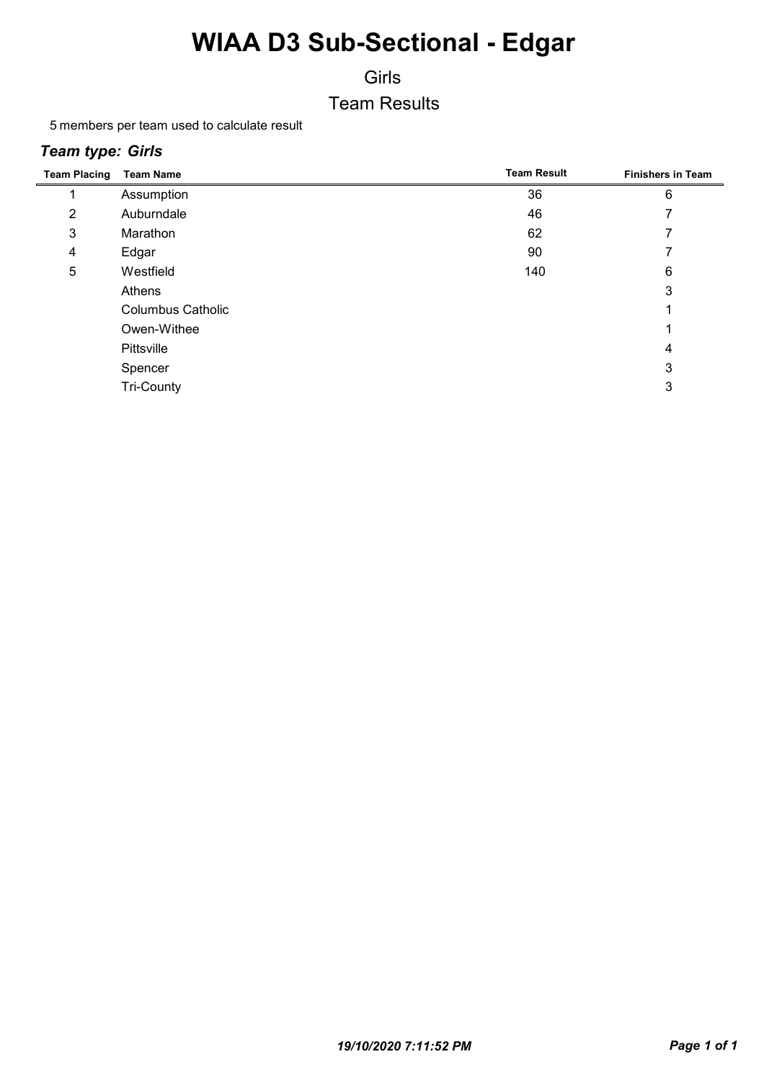Girls

Team Results

5 members per team used to calculate result

#### *Team type: Girls*

| <b>Team Placing</b> | <b>Team Name</b>         | <b>Team Result</b> | <b>Finishers in Team</b> |
|---------------------|--------------------------|--------------------|--------------------------|
|                     | Assumption               | 36                 | 6                        |
| 2                   | Auburndale               | 46                 |                          |
| 3                   | Marathon                 | 62                 |                          |
| 4                   | Edgar                    | 90                 |                          |
| 5                   | Westfield                | 140                | 6                        |
|                     | Athens                   |                    | 3                        |
|                     | <b>Columbus Catholic</b> |                    |                          |
|                     | Owen-Withee              |                    |                          |
|                     | Pittsville               |                    | 4                        |
|                     | Spencer                  |                    | 3                        |
|                     | <b>Tri-County</b>        |                    | 3                        |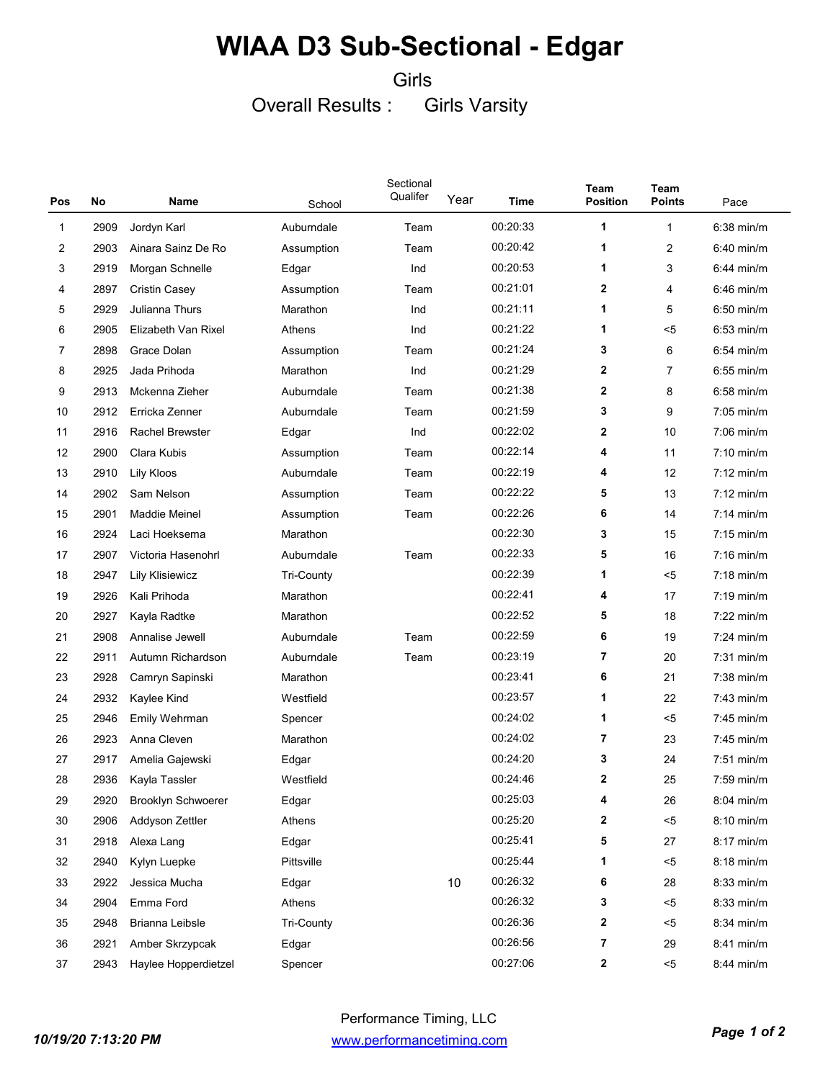Girls

Overall Results : Girls Varsity

| Pos          | No   | <b>Name</b>            | School            | Sectional<br>Qualifer | Year | Time     | Team<br><b>Position</b> | Team<br><b>Points</b> | Pace                 |
|--------------|------|------------------------|-------------------|-----------------------|------|----------|-------------------------|-----------------------|----------------------|
| $\mathbf{1}$ | 2909 | Jordyn Karl            | Auburndale        | Team                  |      | 00:20:33 | 1                       | $\mathbf{1}$          | $6:38$ min/m         |
| 2            | 2903 | Ainara Sainz De Ro     | Assumption        | Team                  |      | 00:20:42 | $\mathbf 1$             | 2                     | 6:40 min/m           |
| 3            | 2919 | Morgan Schnelle        | Edgar             | Ind                   |      | 00:20:53 | 1                       | 3                     | $6:44$ min/m         |
| 4            | 2897 | Cristin Casey          | Assumption        | Team                  |      | 00:21:01 | $\mathbf{2}$            | 4                     | $6:46$ min/m         |
| 5            | 2929 | Julianna Thurs         | Marathon          | Ind                   |      | 00:21:11 | 1                       | 5                     | $6:50$ min/m         |
| 6            | 2905 | Elizabeth Van Rixel    | Athens            | Ind                   |      | 00:21:22 | 1                       | <5                    | $6:53$ min/m         |
| 7            | 2898 | Grace Dolan            | Assumption        | Team                  |      | 00:21:24 | 3                       | 6                     | $6:54$ min/m         |
| 8            | 2925 | Jada Prihoda           | Marathon          | Ind                   |      | 00:21:29 | $\mathbf{2}$            | 7                     | $6:55$ min/m         |
| 9            | 2913 | Mckenna Zieher         | Auburndale        | Team                  |      | 00:21:38 | $\mathbf{2}$            | 8                     | $6:58$ min/m         |
| 10           | 2912 | Erricka Zenner         | Auburndale        | Team                  |      | 00:21:59 | 3                       | 9                     | 7:05 min/m           |
| 11           | 2916 | <b>Rachel Brewster</b> | Edgar             | Ind                   |      | 00:22:02 | $\mathbf{2}$            | 10                    | $7:06$ min/m         |
| 12           | 2900 | Clara Kubis            | Assumption        | Team                  |      | 00:22:14 | 4                       | 11                    | $7:10$ min/m         |
| 13           | 2910 | Lily Kloos             | Auburndale        | Team                  |      | 00:22:19 | 4                       | 12                    | $7:12 \text{ min/m}$ |
| 14           | 2902 | Sam Nelson             | Assumption        | Team                  |      | 00:22:22 | 5                       | 13                    | $7:12 \text{ min/m}$ |
| 15           | 2901 | Maddie Meinel          | Assumption        | Team                  |      | 00:22:26 | 6                       | 14                    | $7:14$ min/m         |
| 16           | 2924 | Laci Hoeksema          | Marathon          |                       |      | 00:22:30 | 3                       | 15                    | $7:15$ min/m         |
| 17           | 2907 | Victoria Hasenohrl     | Auburndale        | Team                  |      | 00:22:33 | 5                       | 16                    | $7:16$ min/m         |
| 18           | 2947 | Lily Klisiewicz        | <b>Tri-County</b> |                       |      | 00:22:39 | 1                       | <5                    | $7:18$ min/m         |
| 19           | 2926 | Kali Prihoda           | Marathon          |                       |      | 00:22:41 | 4                       | 17                    | $7:19$ min/m         |
| 20           | 2927 | Kayla Radtke           | Marathon          |                       |      | 00:22:52 | 5                       | 18                    | $7:22$ min/m         |
| 21           | 2908 | Annalise Jewell        | Auburndale        | Team                  |      | 00:22:59 | 6                       | 19                    | $7:24$ min/m         |
| 22           | 2911 | Autumn Richardson      | Auburndale        | Team                  |      | 00:23:19 | $\overline{7}$          | 20                    | $7:31$ min/m         |
| 23           | 2928 | Camryn Sapinski        | Marathon          |                       |      | 00:23:41 | 6                       | 21                    | $7:38$ min/m         |
| 24           | 2932 | Kaylee Kind            | Westfield         |                       |      | 00:23:57 | 1                       | 22                    | $7:43$ min/m         |
| 25           | 2946 | Emily Wehrman          | Spencer           |                       |      | 00:24:02 | 1                       | <5                    | $7:45$ min/m         |
| 26           | 2923 | Anna Cleven            | Marathon          |                       |      | 00:24:02 | $\overline{7}$          | 23                    | 7:45 min/m           |
| 27           | 2917 | Amelia Gajewski        | Edgar             |                       |      | 00:24:20 | 3                       | 24                    | $7:51$ min/m         |
| 28           | 2936 | Kayla Tassler          | Westfield         |                       |      | 00:24:46 | 2                       | 25                    | $7:59$ min/m         |
| 29           | 2920 | Brooklyn Schwoerer     | Edgar             |                       |      | 00:25:03 | 4                       | 26                    | 8:04 min/m           |
| 30           | 2906 | Addyson Zettler        | Athens            |                       |      | 00:25:20 | $\mathbf{2}$            | $5$                   | 8:10 min/m           |
| 31           | 2918 | Alexa Lang             | Edgar             |                       |      | 00:25:41 | 5                       | 27                    | 8:17 min/m           |
| 32           | 2940 | Kylyn Luepke           | Pittsville        |                       |      | 00:25:44 | 1                       | $5$                   | 8:18 min/m           |
| 33           | 2922 | Jessica Mucha          | Edgar             |                       | 10   | 00:26:32 | 6                       | 28                    | 8:33 min/m           |
| 34           | 2904 | Emma Ford              | Athens            |                       |      | 00:26:32 | 3                       | $5$                   | 8:33 min/m           |
| 35           | 2948 | Brianna Leibsle        | <b>Tri-County</b> |                       |      | 00:26:36 | 2                       | $5$                   | 8:34 min/m           |
| 36           | 2921 | Amber Skrzypcak        | Edgar             |                       |      | 00:26:56 | 7                       | 29                    | 8:41 min/m           |
| 37           | 2943 | Haylee Hopperdietzel   | Spencer           |                       |      | 00:27:06 | 2                       | $< 5$                 | 8:44 min/m           |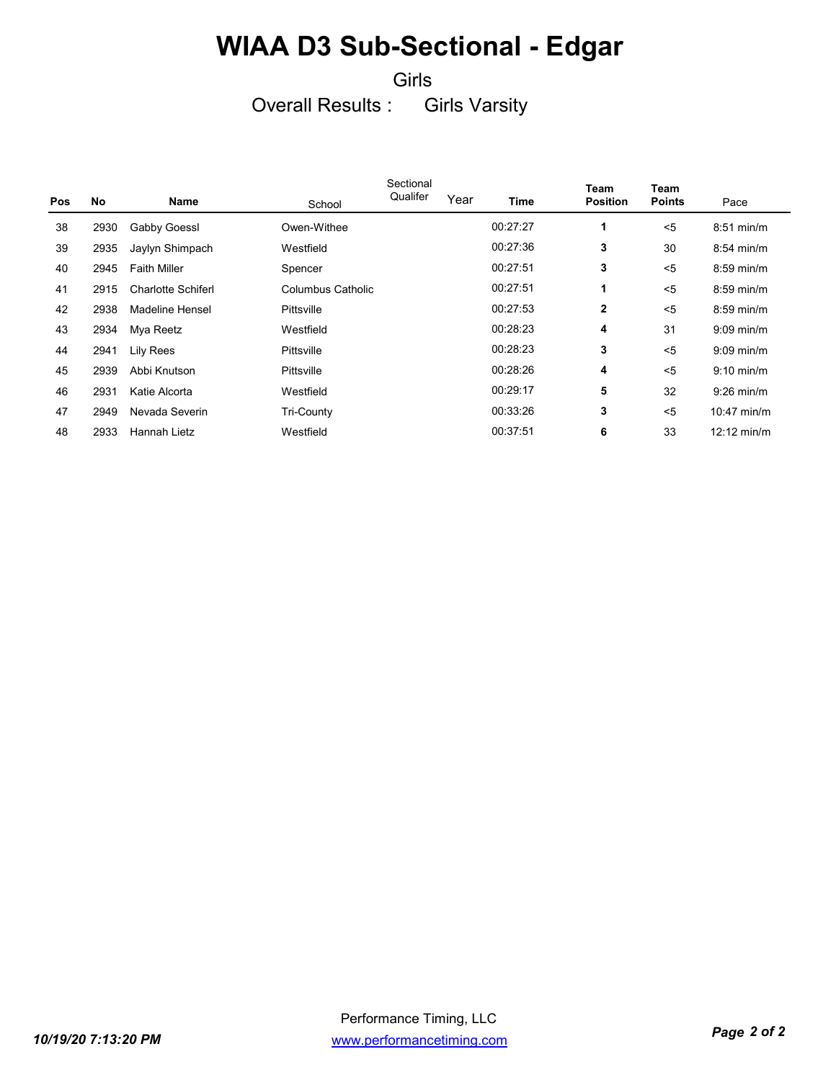#### Girls

#### Overall Results : Girls Varsity

|            |           |                           |                   | Sectional |      |          | Team            | Team          |                       |
|------------|-----------|---------------------------|-------------------|-----------|------|----------|-----------------|---------------|-----------------------|
| <b>Pos</b> | <b>No</b> | Name                      | School            | Qualifer  | Year | Time     | <b>Position</b> | <b>Points</b> | Pace                  |
| 38         | 2930      | Gabby Goessl              | Owen-Withee       |           |      | 00:27:27 | 1               | $5$           | $8:51$ min/m          |
| 39         | 2935      | Jaylyn Shimpach           | Westfield         |           |      | 00:27:36 | 3               | 30            | $8:54$ min/m          |
| 40         | 2945      | <b>Faith Miller</b>       | Spencer           |           |      | 00:27:51 | 3               | $5$           | $8:59$ min/m          |
| 41         | 2915      | <b>Charlotte Schiferl</b> | Columbus Catholic |           |      | 00:27:51 | 1               | $5$           | $8:59$ min/m          |
| 42         | 2938      | Madeline Hensel           | Pittsville        |           |      | 00:27:53 | 2               | $5$           | $8:59$ min/m          |
| 43         | 2934      | Mya Reetz                 | Westfield         |           |      | 00:28:23 | 4               | 31            | $9:09$ min/m          |
| 44         | 2941      | Lily Rees                 | Pittsville        |           |      | 00:28:23 | 3               | $5$           | $9:09$ min/m          |
| 45         | 2939      | Abbi Knutson              | Pittsville        |           |      | 00:28:26 | 4               | $5$           | $9:10$ min/m          |
| 46         | 2931      | Katie Alcorta             | Westfield         |           |      | 00:29:17 | 5               | 32            | $9:26$ min/m          |
| 47         | 2949      | Nevada Severin            | Tri-County        |           |      | 00:33:26 | 3               | $5$           | $10:47$ min/m         |
| 48         | 2933      | Hannah Lietz              | Westfield         |           |      | 00:37:51 | 6               | 33            | $12:12 \text{ min/m}$ |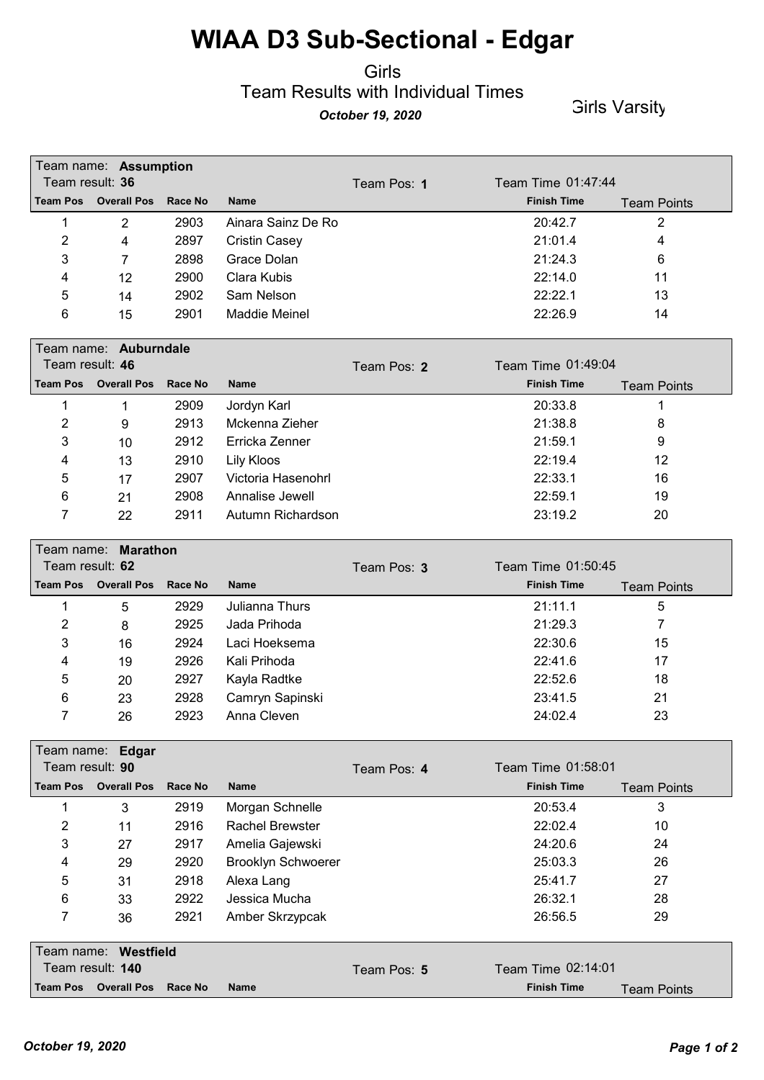#### Girls Team Results with Individual Times *October 19, 2020* Girls Varsity

|                 | Team name: Assumption |                |                      |             |                    |                    |
|-----------------|-----------------------|----------------|----------------------|-------------|--------------------|--------------------|
|                 | Team result: 36       |                |                      | Team Pos: 1 | Team Time 01:47:44 |                    |
| <b>Team Pos</b> | <b>Overall Pos</b>    | <b>Race No</b> | <b>Name</b>          |             | <b>Finish Time</b> | <b>Team Points</b> |
|                 | $\overline{2}$        | 2903           | Ainara Sainz De Ro   |             | 20:42.7            | 2                  |
| 2               | 4                     | 2897           | <b>Cristin Casey</b> |             | 21:01.4            | 4                  |
| 3               | 7                     | 2898           | Grace Dolan          |             | 21:24.3            | 6                  |
| 4               | 12                    | 2900           | Clara Kubis          |             | 22:14.0            | 11                 |
| 5               | 14                    | 2902           | Sam Nelson           |             | 22:22.1            | 13                 |
| 6               | 15                    | 2901           | <b>Maddie Meinel</b> |             | 22:26.9            | 14                 |
|                 | Team name: Auburndale |                |                      |             |                    |                    |
|                 |                       |                |                      |             |                    |                    |
|                 | Team result: 46       |                |                      | Team Pos: 2 | Team Time 01:49:04 |                    |
| <b>Team Pos</b> | <b>Overall Pos</b>    | <b>Race No</b> | <b>Name</b>          |             | <b>Finish Time</b> | <b>Team Points</b> |
|                 | 1                     | 2909           | Jordyn Karl          |             | 20:33.8            | 1                  |
| 2               | 9                     | 2913           | Mckenna Zieher       |             | 21:38.8            | 8                  |
| 3               | 10                    | 2912           | Erricka Zenner       |             | 21:59.1            | 9                  |
| 4               | 13                    | 2910           | Lily Kloos           |             | 22:19.4            | 12                 |
| 5               | 17                    | 2907           | Victoria Hasenohrl   |             | 22:33.1            | 16                 |
| 6               | 21                    | 2908           | Annalise Jewell      |             | 22:59.1            | 19                 |

| Team result: 62 | Team name: Marathon  |         |                 | Team Pos: 3 | Team Time 01:50:45 |                    |  |
|-----------------|----------------------|---------|-----------------|-------------|--------------------|--------------------|--|
|                 | Team Pos Overall Pos | Race No | <b>Name</b>     |             | <b>Finish Time</b> | <b>Team Points</b> |  |
|                 | 5                    | 2929    | Julianna Thurs  |             | 21:11.1            | 5                  |  |
| 2               | 8                    | 2925    | Jada Prihoda    |             | 21:29.3            |                    |  |
| 3               | 16                   | 2924    | Laci Hoeksema   |             | 22:30.6            | 15                 |  |
| 4               | 19                   | 2926    | Kali Prihoda    |             | 22:41.6            | 17                 |  |
| 5               | 20                   | 2927    | Kayla Radtke    |             | 22:52.6            | 18                 |  |
| 6               | 23                   | 2928    | Camryn Sapinski |             | 23:41.5            | 21                 |  |
|                 | 26                   | 2923    | Anna Cleven     |             | 24:02.4            | 23                 |  |

| Team name: Edgar        |                    |         |                           |             |                    |                    |  |
|-------------------------|--------------------|---------|---------------------------|-------------|--------------------|--------------------|--|
| Team result: 90         |                    |         |                           | Team Pos: 4 | Team Time 01:58:01 |                    |  |
| <b>Team Pos</b>         | <b>Overall Pos</b> | Race No | <b>Name</b>               |             | <b>Finish Time</b> | <b>Team Points</b> |  |
| 1                       | 3                  | 2919    | Morgan Schnelle           |             | 20:53.4            | 3                  |  |
| $\overline{2}$          | 11                 | 2916    | <b>Rachel Brewster</b>    |             | 22:02.4            | 10                 |  |
| 3                       | 27                 | 2917    | Amelia Gajewski           |             | 24:20.6            | 24                 |  |
| 4                       | 29                 | 2920    | <b>Brooklyn Schwoerer</b> |             | 25:03.3            | 26                 |  |
| 5                       | 31                 | 2918    | Alexa Lang                |             | 25:41.7            | 27                 |  |
| 6                       | 33                 | 2922    | Jessica Mucha             |             | 26:32.1            | 28                 |  |
| 7                       | 36                 | 2921    | Amber Skrzypcak           |             | 26:56.5            | 29                 |  |
| Team name:<br>Westfield |                    |         |                           |             |                    |                    |  |
|                         | Team result: 140   |         |                           | Team Pos: 5 |                    | Team Time 02:14:01 |  |
| <b>Team Pos</b>         | <b>Overall Pos</b> | Race No | <b>Name</b>               |             | <b>Finish Time</b> | <b>Team Points</b> |  |